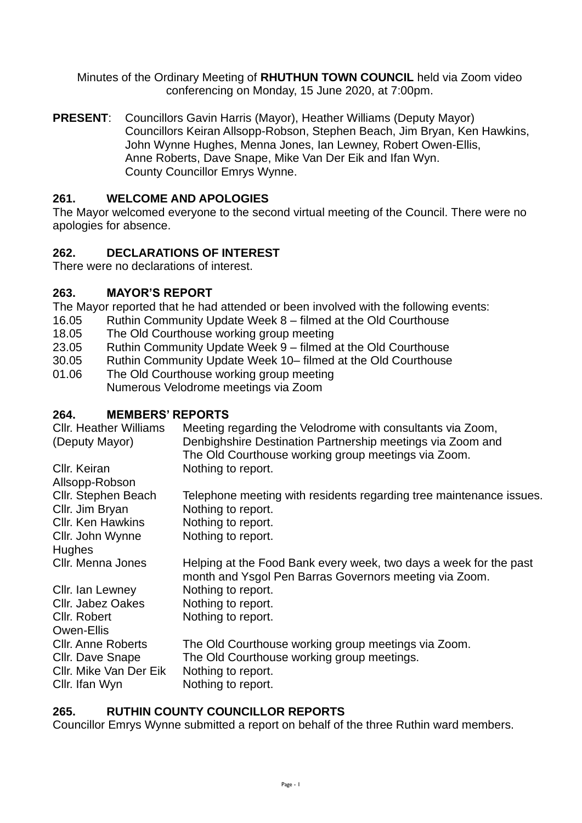Minutes of the Ordinary Meeting of **RHUTHUN TOWN COUNCIL** held via Zoom video conferencing on Monday, 15 June 2020, at 7:00pm.

**PRESENT**: Councillors Gavin Harris (Mayor), Heather Williams (Deputy Mayor) Councillors Keiran Allsopp-Robson, Stephen Beach, Jim Bryan, Ken Hawkins, John Wynne Hughes, Menna Jones, Ian Lewney, Robert Owen-Ellis, Anne Roberts, Dave Snape, Mike Van Der Eik and Ifan Wyn. County Councillor Emrys Wynne.

## **261. WELCOME AND APOLOGIES**

The Mayor welcomed everyone to the second virtual meeting of the Council. There were no apologies for absence.

## **262. DECLARATIONS OF INTEREST**

There were no declarations of interest.

## **263. MAYOR'S REPORT**

The Mayor reported that he had attended or been involved with the following events:

- 16.05 Ruthin Community Update Week 8 filmed at the Old Courthouse
- 18.05 The Old Courthouse working group meeting
- 23.05 Ruthin Community Update Week 9 filmed at the Old Courthouse
- 30.05 Ruthin Community Update Week 10– filmed at the Old Courthouse
- 01.06 The Old Courthouse working group meeting Numerous Velodrome meetings via Zoom

## **264. MEMBERS' REPORTS**

| <b>Cllr. Heather Williams</b><br>(Deputy Mayor) | Meeting regarding the Velodrome with consultants via Zoom,<br>Denbighshire Destination Partnership meetings via Zoom and    |
|-------------------------------------------------|-----------------------------------------------------------------------------------------------------------------------------|
|                                                 | The Old Courthouse working group meetings via Zoom.                                                                         |
| Cllr. Keiran                                    | Nothing to report.                                                                                                          |
| Allsopp-Robson                                  |                                                                                                                             |
| Cllr. Stephen Beach                             | Telephone meeting with residents regarding tree maintenance issues.                                                         |
| Cllr. Jim Bryan                                 | Nothing to report.                                                                                                          |
| Cllr. Ken Hawkins                               | Nothing to report.                                                                                                          |
| Cllr. John Wynne                                | Nothing to report.                                                                                                          |
| <b>Hughes</b>                                   |                                                                                                                             |
| Cllr. Menna Jones                               | Helping at the Food Bank every week, two days a week for the past<br>month and Ysgol Pen Barras Governors meeting via Zoom. |
| Cllr. Ian Lewney                                | Nothing to report.                                                                                                          |
| <b>CIIr. Jabez Oakes</b>                        | Nothing to report.                                                                                                          |
| Cllr. Robert                                    | Nothing to report.                                                                                                          |
| Owen-Ellis                                      |                                                                                                                             |
| <b>CIIr. Anne Roberts</b>                       | The Old Courthouse working group meetings via Zoom.                                                                         |
| Cllr. Dave Snape                                | The Old Courthouse working group meetings.                                                                                  |
| Cllr. Mike Van Der Eik                          | Nothing to report.                                                                                                          |
| Cllr. Ifan Wyn                                  | Nothing to report.                                                                                                          |

# **265. RUTHIN COUNTY COUNCILLOR REPORTS**

Councillor Emrys Wynne submitted a report on behalf of the three Ruthin ward members.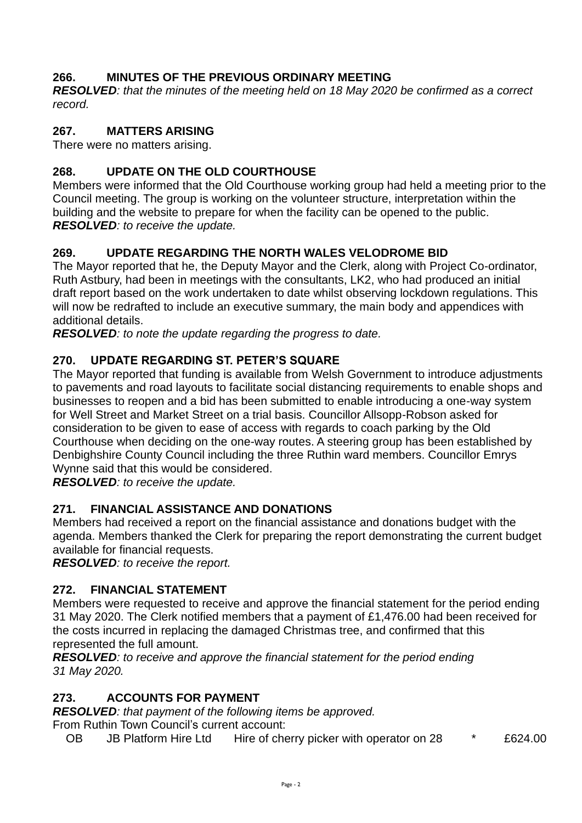# **266. MINUTES OF THE PREVIOUS ORDINARY MEETING**

*RESOLVED: that the minutes of the meeting held on 18 May 2020 be confirmed as a correct record.* 

#### **267. MATTERS ARISING**

There were no matters arising.

### **268. UPDATE ON THE OLD COURTHOUSE**

Members were informed that the Old Courthouse working group had held a meeting prior to the Council meeting. The group is working on the volunteer structure, interpretation within the building and the website to prepare for when the facility can be opened to the public. *RESOLVED: to receive the update.* 

## **269. UPDATE REGARDING THE NORTH WALES VELODROME BID**

The Mayor reported that he, the Deputy Mayor and the Clerk, along with Project Co-ordinator, Ruth Astbury, had been in meetings with the consultants, LK2, who had produced an initial draft report based on the work undertaken to date whilst observing lockdown regulations. This will now be redrafted to include an executive summary, the main body and appendices with additional details.

*RESOLVED: to note the update regarding the progress to date.* 

#### **270. UPDATE REGARDING ST. PETER'S SQUARE**

The Mayor reported that funding is available from Welsh Government to introduce adjustments to pavements and road layouts to facilitate social distancing requirements to enable shops and businesses to reopen and a bid has been submitted to enable introducing a one-way system for Well Street and Market Street on a trial basis. Councillor Allsopp-Robson asked for consideration to be given to ease of access with regards to coach parking by the Old Courthouse when deciding on the one-way routes. A steering group has been established by Denbighshire County Council including the three Ruthin ward members. Councillor Emrys Wynne said that this would be considered.

*RESOLVED: to receive the update.* 

# **271. FINANCIAL ASSISTANCE AND DONATIONS**

Members had received a report on the financial assistance and donations budget with the agenda. Members thanked the Clerk for preparing the report demonstrating the current budget available for financial requests.

*RESOLVED: to receive the report.* 

#### **272. FINANCIAL STATEMENT**

Members were requested to receive and approve the financial statement for the period ending 31 May 2020. The Clerk notified members that a payment of £1,476.00 had been received for the costs incurred in replacing the damaged Christmas tree, and confirmed that this represented the full amount.

*RESOLVED: to receive and approve the financial statement for the period ending 31 May 2020.* 

#### **273. ACCOUNTS FOR PAYMENT**

*RESOLVED: that payment of the following items be approved.*

From Ruthin Town Council's current account:

OB JB Platform Hire Ltd Hire of cherry picker with operator on 28  $*$  £624.00